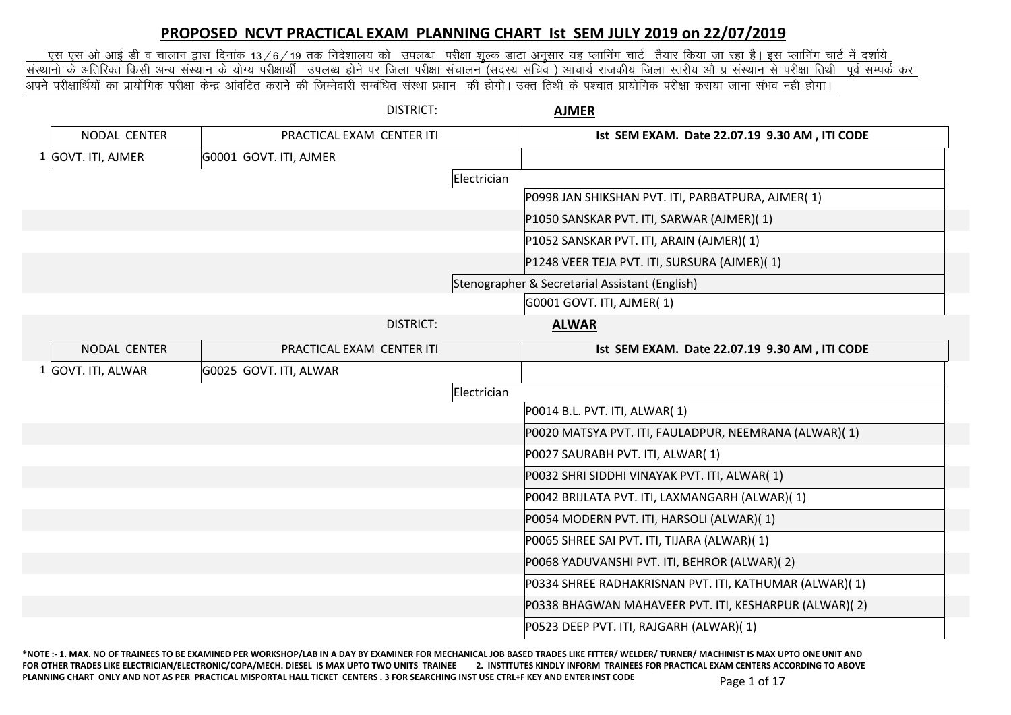## **PROPOSED NCVT PRACTICAL EXAM PLANNING CHART Ist SEM JULY 2019 on 22/07/2019**

<u>. एस एस ओ आई डी व चालान द्वारा दिनांक 13/6/19 तक निदेशालय को उपलब्ध परीक्षा शुल्क डाटा अनुसार यह प्लानिंग जार्ट में) इस प्लानिंग चार्ट में दर्शाये : इस प्लानिंग चार्ट में दर्शाये प्र चार्य में दर्शाये । इस प्लानिंग </u> <u>संस्थानो के अतिरिक्त किसी अन्य संस्थान के योग्य परीक्षार्थी उपलब्ध होने पर जिला र्साचय (सदस्य सचिव ) आचार्य राजकीय जिला स्तरीय औ प्र संस्थान से परीक्षा तिथी पूर्व सम्पर्क कर</u> vius ijh{kkfFkZ;ks a dk izk;ksfxd ijh{kk dsUnz vkaofVr djkus dh ftEesnkjh lEcaf/kr laLFkk iz/kku dh gksxhA mDr frFkh ds i'pkr izk;ksfxd ijh{kk djk;k tkuk laHko ugh gksxkA

|                    | <b>DISTRICT:</b>          |             | <b>AJMER</b>                                           |
|--------------------|---------------------------|-------------|--------------------------------------------------------|
| NODAL CENTER       | PRACTICAL EXAM CENTER ITI |             | Ist SEM EXAM. Date 22.07.19 9.30 AM, ITI CODE          |
| 1 GOVT. ITI, AJMER | G0001 GOVT. ITI, AJMER    |             |                                                        |
|                    |                           | Electrician |                                                        |
|                    |                           |             | P0998 JAN SHIKSHAN PVT. ITI, PARBATPURA, AJMER(1)      |
|                    |                           |             | P1050 SANSKAR PVT. ITI, SARWAR (AJMER)(1)              |
|                    |                           |             | P1052 SANSKAR PVT. ITI, ARAIN (AJMER)(1)               |
|                    |                           |             | P1248 VEER TEJA PVT. ITI, SURSURA (AJMER)(1)           |
|                    |                           |             | Stenographer & Secretarial Assistant (English)         |
|                    |                           |             | G0001 GOVT. ITI, AJMER(1)                              |
|                    | <b>DISTRICT:</b>          |             | <b>ALWAR</b>                                           |
| NODAL CENTER       | PRACTICAL EXAM CENTER ITI |             | Ist SEM EXAM. Date 22.07.19 9.30 AM, ITI CODE          |
| 1 GOVT. ITI, ALWAR | G0025 GOVT. ITI, ALWAR    |             |                                                        |
|                    |                           | Electrician |                                                        |
|                    |                           |             | P0014 B.L. PVT. ITI, ALWAR(1)                          |
|                    |                           |             | P0020 MATSYA PVT. ITI, FAULADPUR, NEEMRANA (ALWAR)(1)  |
|                    |                           |             | P0027 SAURABH PVT. ITI, ALWAR(1)                       |
|                    |                           |             | P0032 SHRI SIDDHI VINAYAK PVT. ITI, ALWAR(1)           |
|                    |                           |             | P0042 BRIJLATA PVT. ITI, LAXMANGARH (ALWAR)(1)         |
|                    |                           |             | P0054 MODERN PVT. ITI, HARSOLI (ALWAR)(1)              |
|                    |                           |             | P0065 SHREE SAI PVT. ITI, TIJARA (ALWAR)(1)            |
|                    |                           |             | P0068 YADUVANSHI PVT. ITI, BEHROR (ALWAR)(2)           |
|                    |                           |             | P0334 SHREE RADHAKRISNAN PVT. ITI, KATHUMAR (ALWAR)(1) |
|                    |                           |             | P0338 BHAGWAN MAHAVEER PVT. ITI, KESHARPUR (ALWAR)(2)  |
|                    |                           |             | P0523 DEEP PVT. ITI, RAJGARH (ALWAR)(1)                |
|                    |                           |             |                                                        |

**\*NOTE :- 1. MAX. NO OF TRAINEES TO BE EXAMINED PER WORKSHOP/LAB IN A DAY BY EXAMINER FOR MECHANICAL JOB BASED TRADES LIKE FITTER/ WELDER/ TURNER/ MACHINIST IS MAX UPTO ONE UNIT AND**  FOR OTHER TRADES LIKE ELECTRICIAN/ELECTRONIC/COPA/MECH. DIESEL IS MAX UPTO TWO UNITS TRAINEE 2. INSTITUTES KINDLY INFORM TRAINEES FOR PRACTICAL EXAM CENTERS ACCORDING TO ABOVE PLANNING CHART ONLY AND NOT AS PER PRACTICAL MISPORTAL HALL TICKET CENTERS . 3 FOR SEARCHING INST USE CTRL+F KEY AND ENTER INST CODE Page 1 of 17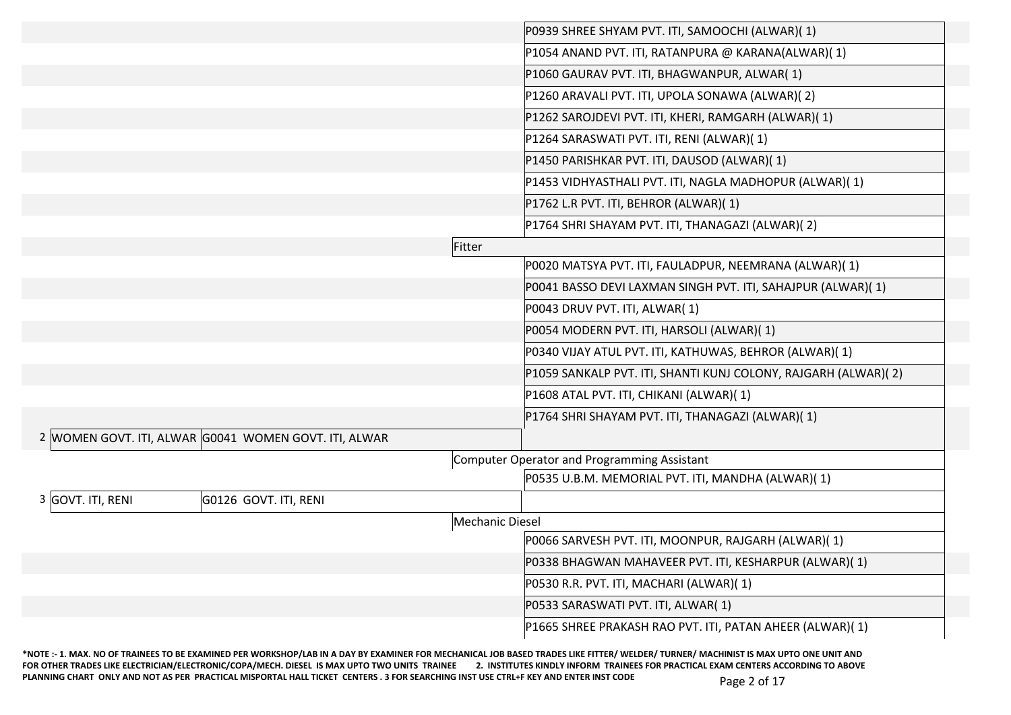|                   |                                                       |                 | P0939 SHREE SHYAM PVT. ITI, SAMOOCHI (ALWAR)(1)                |
|-------------------|-------------------------------------------------------|-----------------|----------------------------------------------------------------|
|                   |                                                       |                 | P1054 ANAND PVT. ITI, RATANPURA @ KARANA(ALWAR)(1)             |
|                   |                                                       |                 | P1060 GAURAV PVT. ITI, BHAGWANPUR, ALWAR(1)                    |
|                   |                                                       |                 | P1260 ARAVALI PVT. ITI, UPOLA SONAWA (ALWAR)(2)                |
|                   |                                                       |                 | P1262 SAROJDEVI PVT. ITI, KHERI, RAMGARH (ALWAR)(1)            |
|                   |                                                       |                 | P1264 SARASWATI PVT. ITI, RENI (ALWAR)(1)                      |
|                   |                                                       |                 | P1450 PARISHKAR PVT. ITI, DAUSOD (ALWAR)(1)                    |
|                   |                                                       |                 | P1453 VIDHYASTHALI PVT. ITI, NAGLA MADHOPUR (ALWAR)(1)         |
|                   |                                                       |                 | P1762 L.R PVT. ITI, BEHROR (ALWAR)(1)                          |
|                   |                                                       |                 | P1764 SHRI SHAYAM PVT. ITI, THANAGAZI (ALWAR)(2)               |
|                   |                                                       | Fitter          |                                                                |
|                   |                                                       |                 | P0020 MATSYA PVT. ITI, FAULADPUR, NEEMRANA (ALWAR)(1)          |
|                   |                                                       |                 | P0041 BASSO DEVI LAXMAN SINGH PVT. ITI, SAHAJPUR (ALWAR)(1)    |
|                   |                                                       |                 | P0043 DRUV PVT. ITI, ALWAR(1)                                  |
|                   |                                                       |                 | P0054 MODERN PVT. ITI, HARSOLI (ALWAR)(1)                      |
|                   |                                                       |                 | P0340 VIJAY ATUL PVT. ITI, KATHUWAS, BEHROR (ALWAR)(1)         |
|                   |                                                       |                 | P1059 SANKALP PVT. ITI, SHANTI KUNJ COLONY, RAJGARH (ALWAR)(2) |
|                   |                                                       |                 | P1608 ATAL PVT. ITI, CHIKANI (ALWAR)(1)                        |
|                   |                                                       |                 | P1764 SHRI SHAYAM PVT. ITI, THANAGAZI (ALWAR)(1)               |
|                   | 2 WOMEN GOVT. ITI, ALWAR G0041 WOMEN GOVT. ITI, ALWAR |                 |                                                                |
|                   |                                                       |                 | Computer Operator and Programming Assistant                    |
|                   |                                                       |                 | P0535 U.B.M. MEMORIAL PVT. ITI, MANDHA (ALWAR)(1)              |
| 3 GOVT. ITI, RENI | G0126 GOVT. ITI, RENI                                 |                 |                                                                |
|                   |                                                       | Mechanic Diesel |                                                                |
|                   |                                                       |                 | P0066 SARVESH PVT. ITI, MOONPUR, RAJGARH (ALWAR)(1)            |
|                   |                                                       |                 | P0338 BHAGWAN MAHAVEER PVT. ITI, KESHARPUR (ALWAR)(1)          |
|                   |                                                       |                 | P0530 R.R. PVT. ITI, MACHARI (ALWAR)(1)                        |
|                   |                                                       |                 | P0533 SARASWATI PVT. ITI, ALWAR(1)                             |
|                   |                                                       |                 | P1665 SHREE PRAKASH RAO PVT. ITI, PATAN AHEER (ALWAR)(1)       |

**\*NOTE :- 1. MAX. NO OF TRAINEES TO BE EXAMINED PER WORKSHOP/LAB IN A DAY BY EXAMINER FOR MECHANICAL JOB BASED TRADES LIKE FITTER/ WELDER/ TURNER/ MACHINIST IS MAX UPTO ONE UNIT AND**  FOR OTHER TRADES LIKE ELECTRICIAN/ELECTRONIC/COPA/MECH. DIESEL IS MAX UPTO TWO UNITS TRAINEE 2. INSTITUTES KINDLY INFORM TRAINEES FOR PRACTICAL EXAM CENTERS ACCORDING TO ABOVE **PLANNING CHART ONLY AND NOT AS PER PRACTICAL MISPORTAL HALL TICKET CENTERS . 3 FOR SEARCHING INST USE CTRL+F KEY AND ENTER INST CODE** Page 2 of 17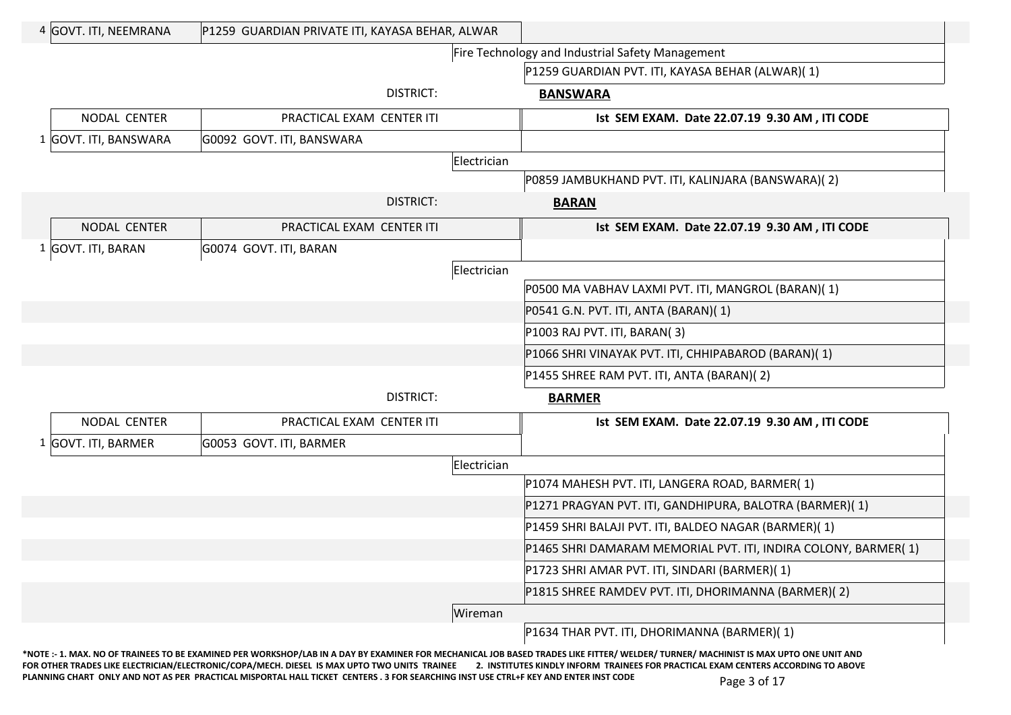| 4 GOVT. ITI, NEEMRANA | P1259 GUARDIAN PRIVATE ITI, KAYASA BEHAR, ALWAR |             |                                                                |
|-----------------------|-------------------------------------------------|-------------|----------------------------------------------------------------|
|                       |                                                 |             | Fire Technology and Industrial Safety Management               |
|                       |                                                 |             | P1259 GUARDIAN PVT. ITI, KAYASA BEHAR (ALWAR)(1)               |
|                       | DISTRICT:                                       |             | <b>BANSWARA</b>                                                |
| NODAL CENTER          | PRACTICAL EXAM CENTER ITI                       |             | Ist SEM EXAM. Date 22.07.19 9.30 AM, ITI CODE                  |
| 1 GOVT. ITI, BANSWARA | G0092 GOVT. ITI, BANSWARA                       |             |                                                                |
|                       |                                                 | Electrician |                                                                |
|                       |                                                 |             | P0859 JAMBUKHAND PVT. ITI, KALINJARA (BANSWARA)(2)             |
|                       | DISTRICT:                                       |             | <b>BARAN</b>                                                   |
| NODAL CENTER          | PRACTICAL EXAM CENTER ITI                       |             | Ist SEM EXAM. Date 22.07.19 9.30 AM, ITI CODE                  |
| 1 GOVT. ITI, BARAN    | G0074 GOVT. ITI, BARAN                          |             |                                                                |
|                       |                                                 | Electrician |                                                                |
|                       |                                                 |             | P0500 MA VABHAV LAXMI PVT. ITI, MANGROL (BARAN)(1)             |
|                       |                                                 |             | P0541 G.N. PVT. ITI, ANTA (BARAN)(1)                           |
|                       |                                                 |             | P1003 RAJ PVT. ITI, BARAN(3)                                   |
|                       |                                                 |             | P1066 SHRI VINAYAK PVT. ITI, CHHIPABAROD (BARAN)(1)            |
|                       |                                                 |             | P1455 SHREE RAM PVT. ITI, ANTA (BARAN)(2)                      |
|                       | <b>DISTRICT:</b>                                |             | <b>BARMER</b>                                                  |
| NODAL CENTER          | PRACTICAL EXAM CENTER ITI                       |             | Ist SEM EXAM. Date 22.07.19 9.30 AM, ITI CODE                  |
| 1 GOVT. ITI, BARMER   | G0053 GOVT. ITI, BARMER                         |             |                                                                |
|                       |                                                 | Electrician |                                                                |
|                       |                                                 |             | P1074 MAHESH PVT. ITI, LANGERA ROAD, BARMER(1)                 |
|                       |                                                 |             | P1271 PRAGYAN PVT. ITI, GANDHIPURA, BALOTRA (BARMER)(1)        |
|                       |                                                 |             | P1459 SHRI BALAJI PVT. ITI, BALDEO NAGAR (BARMER)(1)           |
|                       |                                                 |             | P1465 SHRI DAMARAM MEMORIAL PVT. ITI, INDIRA COLONY, BARMER(1) |
|                       |                                                 |             | P1723 SHRI AMAR PVT. ITI, SINDARI (BARMER)(1)                  |
|                       |                                                 |             | P1815 SHREE RAMDEV PVT. ITI, DHORIMANNA (BARMER)(2)            |
|                       |                                                 | Wireman     |                                                                |
|                       |                                                 |             | P1634 THAR PVT. ITI, DHORIMANNA (BARMER)(1)                    |
|                       |                                                 |             |                                                                |

**\*NOTE :- 1. MAX. NO OF TRAINEES TO BE EXAMINED PER WORKSHOP/LAB IN A DAY BY EXAMINER FOR MECHANICAL JOB BASED TRADES LIKE FITTER/ WELDER/ TURNER/ MACHINIST IS MAX UPTO ONE UNIT AND**  FOR OTHER TRADES LIKE ELECTRICIAN/ELECTRONIC/COPA/MECH. DIESEL IS MAX UPTO TWO UNITS TRAINEE 2. INSTITUTES KINDLY INFORM TRAINEES FOR PRACTICAL EXAM CENTERS ACCORDING TO ABOVE PLANNING CHART ONLY AND NOT AS PER PRACTICAL MISPORTAL HALL TICKET CENTERS . 3 FOR SEARCHING INST USE CTRL+F KEY AND ENTER INST CODE Page 3 of 17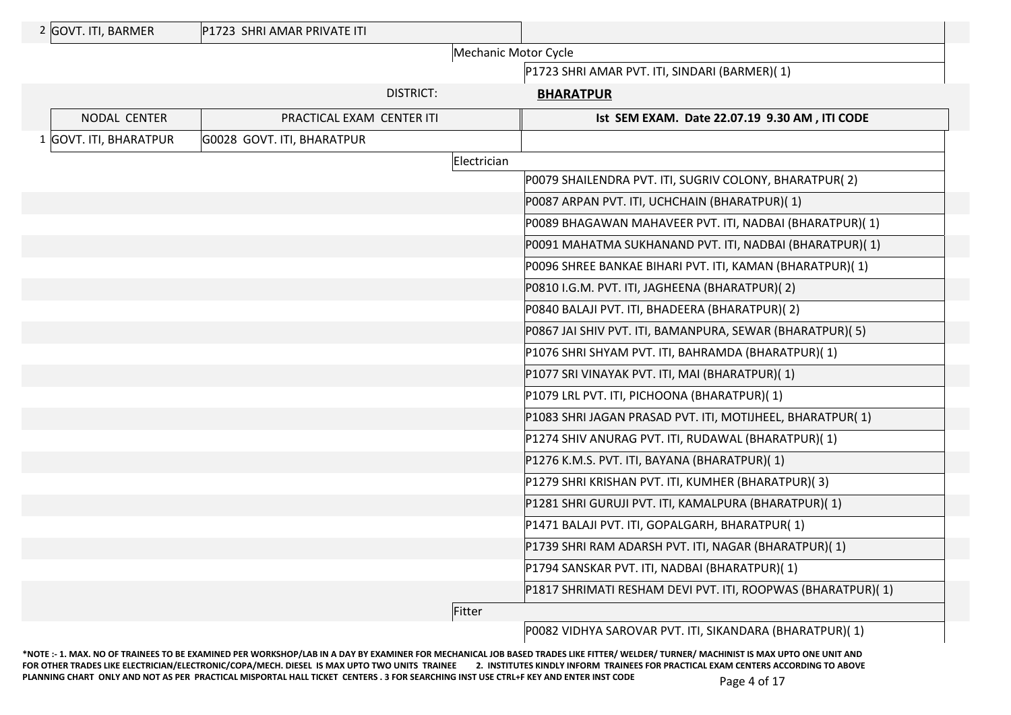| 2 GOVT. ITI, BARMER    | P1723 SHRI AMAR PRIVATE ITI |                      |                                                             |
|------------------------|-----------------------------|----------------------|-------------------------------------------------------------|
|                        |                             | Mechanic Motor Cycle |                                                             |
|                        |                             |                      | P1723 SHRI AMAR PVT. ITI, SINDARI (BARMER)(1)               |
|                        | <b>DISTRICT:</b>            |                      | <b>BHARATPUR</b>                                            |
| NODAL CENTER           | PRACTICAL EXAM CENTER ITI   |                      | Ist SEM EXAM. Date 22.07.19 9.30 AM, ITI CODE               |
| 1 GOVT. ITI, BHARATPUR | G0028 GOVT. ITI, BHARATPUR  |                      |                                                             |
|                        |                             | Electrician          |                                                             |
|                        |                             |                      | P0079 SHAILENDRA PVT. ITI, SUGRIV COLONY, BHARATPUR(2)      |
|                        |                             |                      | P0087 ARPAN PVT. ITI, UCHCHAIN (BHARATPUR)(1)               |
|                        |                             |                      | P0089 BHAGAWAN MAHAVEER PVT. ITI, NADBAI (BHARATPUR)(1)     |
|                        |                             |                      | P0091 MAHATMA SUKHANAND PVT. ITI, NADBAI (BHARATPUR)(1)     |
|                        |                             |                      | P0096 SHREE BANKAE BIHARI PVT. ITI, KAMAN (BHARATPUR)(1)    |
|                        |                             |                      | P0810 I.G.M. PVT. ITI, JAGHEENA (BHARATPUR)(2)              |
|                        |                             |                      | P0840 BALAJI PVT. ITI, BHADEERA (BHARATPUR)(2)              |
|                        |                             |                      | P0867 JAI SHIV PVT. ITI, BAMANPURA, SEWAR (BHARATPUR)(5)    |
|                        |                             |                      | P1076 SHRI SHYAM PVT. ITI, BAHRAMDA (BHARATPUR)(1)          |
|                        |                             |                      | P1077 SRI VINAYAK PVT. ITI, MAI (BHARATPUR)(1)              |
|                        |                             |                      | P1079 LRL PVT. ITI, PICHOONA (BHARATPUR)(1)                 |
|                        |                             |                      | P1083 SHRI JAGAN PRASAD PVT. ITI, MOTIJHEEL, BHARATPUR(1)   |
|                        |                             |                      | P1274 SHIV ANURAG PVT. ITI, RUDAWAL (BHARATPUR)(1)          |
|                        |                             |                      | P1276 K.M.S. PVT. ITI, BAYANA (BHARATPUR)(1)                |
|                        |                             |                      | P1279 SHRI KRISHAN PVT. ITI, KUMHER (BHARATPUR)(3)          |
|                        |                             |                      | P1281 SHRI GURUJI PVT. ITI, KAMALPURA (BHARATPUR)(1)        |
|                        |                             |                      | P1471 BALAJI PVT. ITI, GOPALGARH, BHARATPUR(1)              |
|                        |                             |                      | P1739 SHRI RAM ADARSH PVT. ITI, NAGAR (BHARATPUR)(1)        |
|                        |                             |                      | P1794 SANSKAR PVT. ITI, NADBAI (BHARATPUR)(1)               |
|                        |                             |                      | P1817 SHRIMATI RESHAM DEVI PVT. ITI, ROOPWAS (BHARATPUR)(1) |
|                        |                             | Fitter               |                                                             |
|                        |                             |                      |                                                             |

P0082 VIDHYA SAROVAR PVT. ITI, SIKANDARA (BHARATPUR)( 1)

**\*NOTE :- 1. MAX. NO OF TRAINEES TO BE EXAMINED PER WORKSHOP/LAB IN A DAY BY EXAMINER FOR MECHANICAL JOB BASED TRADES LIKE FITTER/ WELDER/ TURNER/ MACHINIST IS MAX UPTO ONE UNIT AND**  FOR OTHER TRADES LIKE ELECTRICIAN/ELECTRONIC/COPA/MECH. DIESEL IS MAX UPTO TWO UNITS TRAINEE 2. INSTITUTES KINDLY INFORM TRAINEES FOR PRACTICAL EXAM CENTERS ACCORDING TO ABOVE PLANNING CHART ONLY AND NOT AS PER PRACTICAL MISPORTAL HALL TICKET CENTERS . 3 FOR SEARCHING INST USE CTRL+F KEY AND ENTER INST CODE Page 4 of 17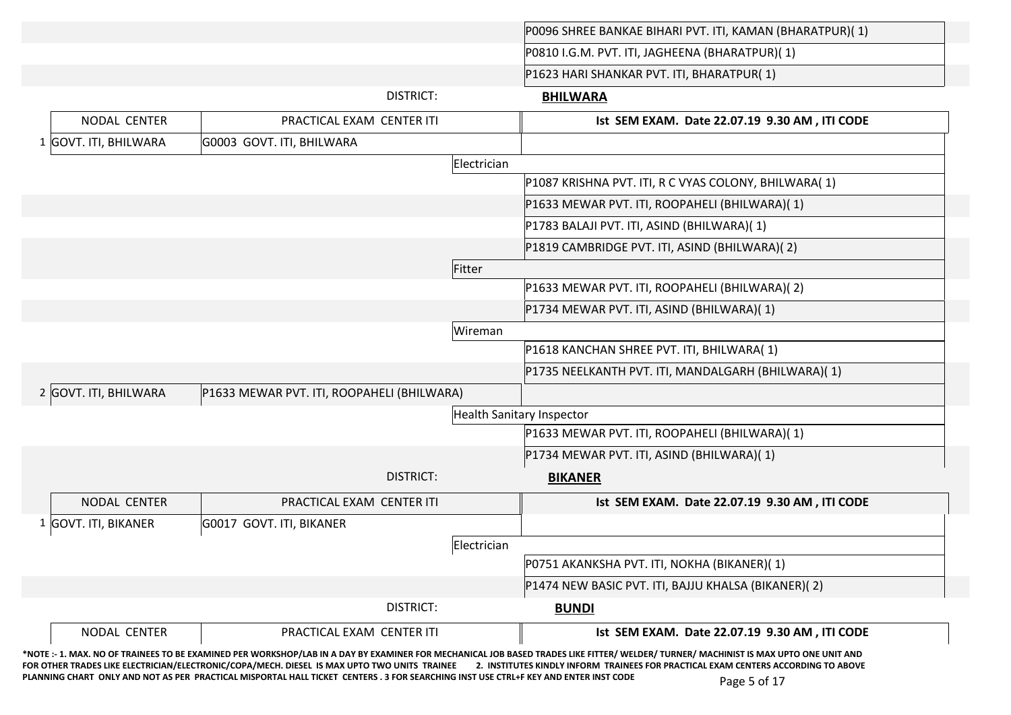|                       |                                            |                                  | P0096 SHREE BANKAE BIHARI PVT. ITI, KAMAN (BHARATPUR)(1) |
|-----------------------|--------------------------------------------|----------------------------------|----------------------------------------------------------|
|                       |                                            |                                  | P0810 I.G.M. PVT. ITI, JAGHEENA (BHARATPUR)(1)           |
|                       |                                            |                                  | P1623 HARI SHANKAR PVT. ITI, BHARATPUR(1)                |
|                       | <b>DISTRICT:</b>                           |                                  | <b>BHILWARA</b>                                          |
| NODAL CENTER          | PRACTICAL EXAM CENTER ITI                  |                                  | Ist SEM EXAM. Date 22.07.19 9.30 AM, ITI CODE            |
| 1 GOVT. ITI, BHILWARA | G0003 GOVT. ITI, BHILWARA                  |                                  |                                                          |
|                       |                                            | Electrician                      |                                                          |
|                       |                                            |                                  | P1087 KRISHNA PVT. ITI, R C VYAS COLONY, BHILWARA(1)     |
|                       |                                            |                                  | P1633 MEWAR PVT. ITI, ROOPAHELI (BHILWARA)(1)            |
|                       |                                            |                                  | P1783 BALAJI PVT. ITI, ASIND (BHILWARA)(1)               |
|                       |                                            |                                  | P1819 CAMBRIDGE PVT. ITI, ASIND (BHILWARA)(2)            |
|                       |                                            | Fitter                           |                                                          |
|                       |                                            |                                  | P1633 MEWAR PVT. ITI, ROOPAHELI (BHILWARA)(2)            |
|                       |                                            |                                  | P1734 MEWAR PVT. ITI, ASIND (BHILWARA)(1)                |
|                       |                                            | Wireman                          |                                                          |
|                       |                                            |                                  | P1618 KANCHAN SHREE PVT. ITI, BHILWARA(1)                |
|                       |                                            |                                  | P1735 NEELKANTH PVT. ITI, MANDALGARH (BHILWARA)(1)       |
| 2 GOVT. ITI, BHILWARA | P1633 MEWAR PVT. ITI, ROOPAHELI (BHILWARA) |                                  |                                                          |
|                       |                                            | <b>Health Sanitary Inspector</b> |                                                          |
|                       |                                            |                                  | P1633 MEWAR PVT. ITI, ROOPAHELI (BHILWARA)(1)            |
|                       |                                            |                                  | P1734 MEWAR PVT. ITI, ASIND (BHILWARA)(1)                |
|                       | <b>DISTRICT:</b>                           |                                  | <b>BIKANER</b>                                           |
| NODAL CENTER          | PRACTICAL EXAM CENTER ITI                  |                                  | Ist SEM EXAM. Date 22.07.19 9.30 AM, ITI CODE            |
| 1 GOVT. ITI, BIKANER  | G0017 GOVT. ITI, BIKANER                   |                                  |                                                          |
|                       |                                            | Electrician                      |                                                          |
|                       |                                            |                                  | P0751 AKANKSHA PVT. ITI, NOKHA (BIKANER)(1)              |
|                       |                                            |                                  | P1474 NEW BASIC PVT. ITI, BAJJU KHALSA (BIKANER)(2)      |
|                       | <b>DISTRICT:</b>                           |                                  | <b>BUNDI</b>                                             |
|                       |                                            |                                  | Ist SEM EXAM. Date 22.07.19 9.30 AM, ITI CODE            |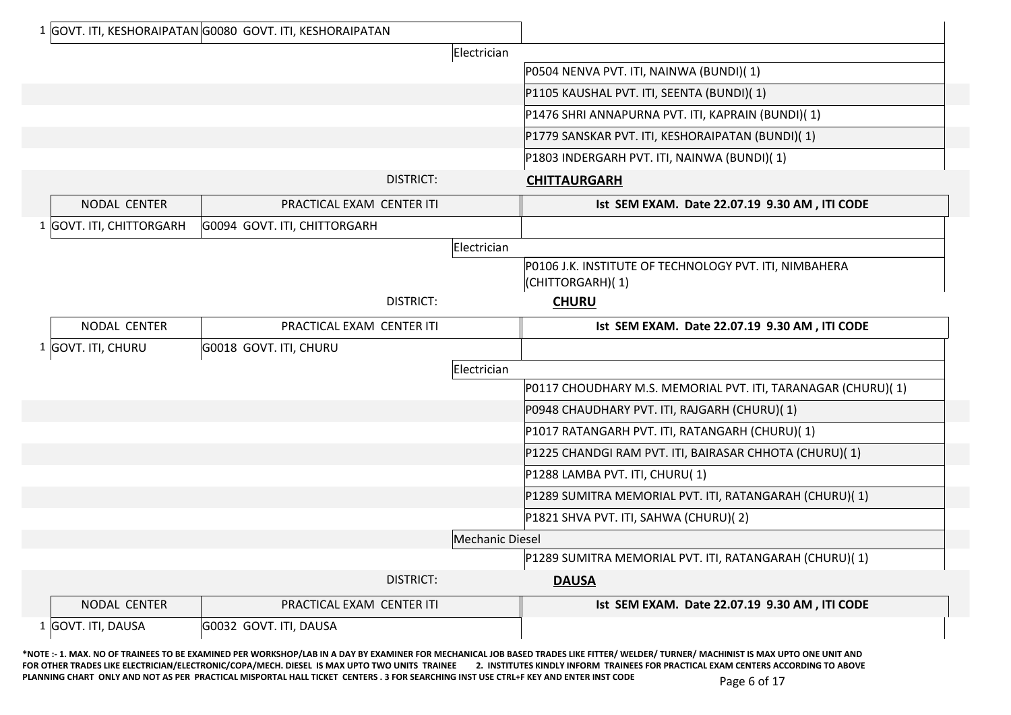|                          | 1 GOVT. ITI, KESHORAIPATAN G0080 GOVT. ITI, KESHORAIPATAN |                        |                                                                            |
|--------------------------|-----------------------------------------------------------|------------------------|----------------------------------------------------------------------------|
|                          |                                                           | Electrician            |                                                                            |
|                          |                                                           |                        | P0504 NENVA PVT. ITI, NAINWA (BUNDI)(1)                                    |
|                          |                                                           |                        | P1105 KAUSHAL PVT. ITI, SEENTA (BUNDI)(1)                                  |
|                          |                                                           |                        | P1476 SHRI ANNAPURNA PVT. ITI, KAPRAIN (BUNDI)(1)                          |
|                          |                                                           |                        | P1779 SANSKAR PVT. ITI, KESHORAIPATAN (BUNDI)(1)                           |
|                          |                                                           |                        | P1803 INDERGARH PVT. ITI, NAINWA (BUNDI)(1)                                |
|                          | <b>DISTRICT:</b>                                          |                        | <b>CHITTAURGARH</b>                                                        |
| NODAL CENTER             | PRACTICAL EXAM CENTER ITI                                 |                        | Ist SEM EXAM. Date 22.07.19 9.30 AM, ITI CODE                              |
| 1 GOVT. ITI, CHITTORGARH | G0094 GOVT. ITI, CHITTORGARH                              |                        |                                                                            |
|                          |                                                           | Electrician            |                                                                            |
|                          |                                                           |                        | P0106 J.K. INSTITUTE OF TECHNOLOGY PVT. ITI, NIMBAHERA<br>(CHITTORGARH)(1) |
|                          | <b>DISTRICT:</b>                                          |                        | <b>CHURU</b>                                                               |
| NODAL CENTER             | PRACTICAL EXAM CENTER ITI                                 |                        | Ist SEM EXAM. Date 22.07.19 9.30 AM, ITI CODE                              |
| 1 GOVT. ITI, CHURU       | G0018 GOVT. ITI, CHURU                                    |                        |                                                                            |
|                          |                                                           | Electrician            |                                                                            |
|                          |                                                           |                        | P0117 CHOUDHARY M.S. MEMORIAL PVT. ITI, TARANAGAR (CHURU)(1)               |
|                          |                                                           |                        | P0948 CHAUDHARY PVT. ITI, RAJGARH (CHURU)(1)                               |
|                          |                                                           |                        | P1017 RATANGARH PVT. ITI, RATANGARH (CHURU)(1)                             |
|                          |                                                           |                        | P1225 CHANDGI RAM PVT. ITI, BAIRASAR CHHOTA (CHURU)(1)                     |
|                          |                                                           |                        | P1288 LAMBA PVT. ITI, CHURU(1)                                             |
|                          |                                                           |                        | P1289 SUMITRA MEMORIAL PVT. ITI, RATANGARAH (CHURU)(1)                     |
|                          |                                                           |                        | P1821 SHVA PVT. ITI, SAHWA (CHURU)(2)                                      |
|                          |                                                           | <b>Mechanic Diesel</b> |                                                                            |
|                          |                                                           |                        | P1289 SUMITRA MEMORIAL PVT. ITI, RATANGARAH (CHURU)(1)                     |
|                          | DISTRICT:                                                 |                        | <b>DAUSA</b>                                                               |
| NODAL CENTER             | PRACTICAL EXAM CENTER ITI                                 |                        | Ist SEM EXAM. Date 22.07.19 9.30 AM, ITI CODE                              |
| 1 GOVT. ITI, DAUSA       | G0032 GOVT. ITI, DAUSA                                    |                        |                                                                            |

**\*NOTE :- 1. MAX. NO OF TRAINEES TO BE EXAMINED PER WORKSHOP/LAB IN A DAY BY EXAMINER FOR MECHANICAL JOB BASED TRADES LIKE FITTER/ WELDER/ TURNER/ MACHINIST IS MAX UPTO ONE UNIT AND**  FOR OTHER TRADES LIKE ELECTRICIAN/ELECTRONIC/COPA/MECH. DIESEL IS MAX UPTO TWO UNITS TRAINEE 2. INSTITUTES KINDLY INFORM TRAINEES FOR PRACTICAL EXAM CENTERS ACCORDING TO ABOVE PLANNING CHART ONLY AND NOT AS PER PRACTICAL MISPORTAL HALL TICKET CENTERS . 3 FOR SEARCHING INST USE CTRL+F KEY AND ENTER INST CODE Page 6 of 17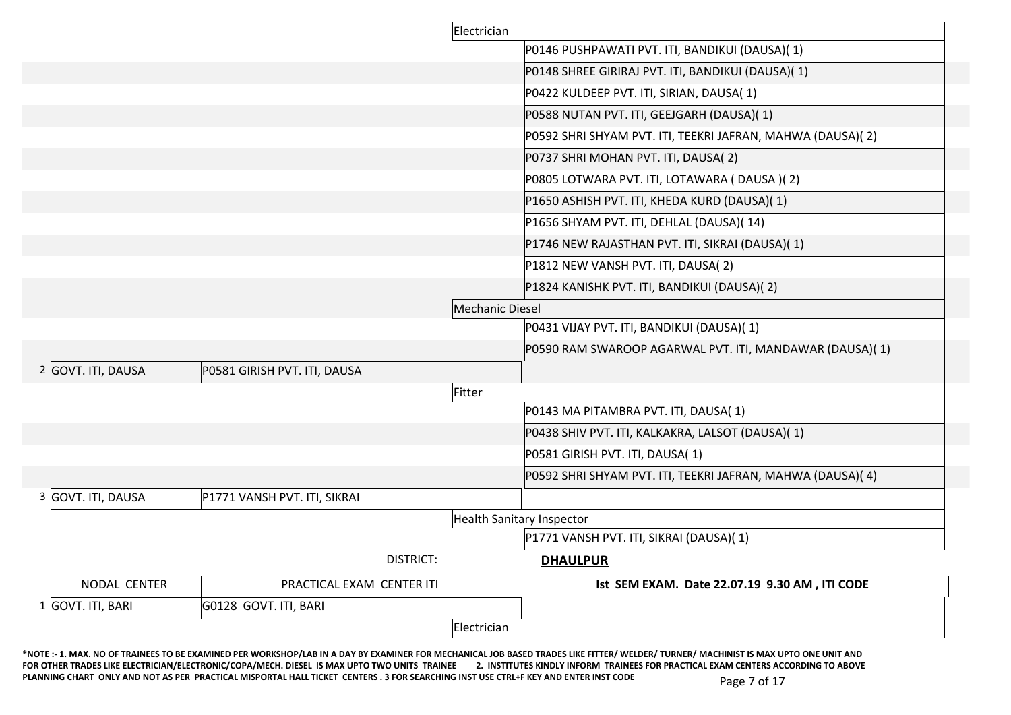|                    |                              | Electrician     |                                                            |
|--------------------|------------------------------|-----------------|------------------------------------------------------------|
|                    |                              |                 | P0146 PUSHPAWATI PVT. ITI, BANDIKUI (DAUSA)(1)             |
|                    |                              |                 | P0148 SHREE GIRIRAJ PVT. ITI, BANDIKUI (DAUSA)(1)          |
|                    |                              |                 | P0422 KULDEEP PVT. ITI, SIRIAN, DAUSA(1)                   |
|                    |                              |                 | P0588 NUTAN PVT. ITI, GEEJGARH (DAUSA)(1)                  |
|                    |                              |                 | P0592 SHRI SHYAM PVT. ITI, TEEKRI JAFRAN, MAHWA (DAUSA)(2) |
|                    |                              |                 | P0737 SHRI MOHAN PVT. ITI, DAUSA(2)                        |
|                    |                              |                 | P0805 LOTWARA PVT. ITI, LOTAWARA (DAUSA)(2)                |
|                    |                              |                 | P1650 ASHISH PVT. ITI, KHEDA KURD (DAUSA)(1)               |
|                    |                              |                 | P1656 SHYAM PVT. ITI, DEHLAL (DAUSA)(14)                   |
|                    |                              |                 | P1746 NEW RAJASTHAN PVT. ITI, SIKRAI (DAUSA)(1)            |
|                    |                              |                 | P1812 NEW VANSH PVT. ITI, DAUSA(2)                         |
|                    |                              |                 | P1824 KANISHK PVT. ITI, BANDIKUI (DAUSA)(2)                |
|                    |                              | Mechanic Diesel |                                                            |
|                    |                              |                 | P0431 VIJAY PVT. ITI, BANDIKUI (DAUSA)(1)                  |
|                    |                              |                 | P0590 RAM SWAROOP AGARWAL PVT. ITI, MANDAWAR (DAUSA)(1)    |
| 2 GOVT. ITI, DAUSA | P0581 GIRISH PVT. ITI, DAUSA |                 |                                                            |
|                    |                              | Fitter          |                                                            |
|                    |                              |                 | P0143 MA PITAMBRA PVT. ITI, DAUSA(1)                       |
|                    |                              |                 | P0438 SHIV PVT. ITI, KALKAKRA, LALSOT (DAUSA)(1)           |
|                    |                              |                 | P0581 GIRISH PVT. ITI, DAUSA(1)                            |
|                    |                              |                 | P0592 SHRI SHYAM PVT. ITI, TEEKRI JAFRAN, MAHWA (DAUSA)(4) |
| 3 GOVT. ITI, DAUSA | P1771 VANSH PVT. ITI, SIKRAI |                 |                                                            |
|                    |                              |                 | <b>Health Sanitary Inspector</b>                           |
|                    |                              |                 | P1771 VANSH PVT. ITI, SIKRAI (DAUSA)(1)                    |
|                    | <b>DISTRICT:</b>             |                 | <b>DHAULPUR</b>                                            |
| NODAL CENTER       | PRACTICAL EXAM CENTER ITI    |                 | Ist SEM EXAM. Date 22.07.19 9.30 AM, ITI CODE              |
| 1 GOVT. ITI, BARI  | G0128 GOVT. ITI, BARI        |                 |                                                            |
|                    |                              | Electrician     |                                                            |

**\*NOTE :- 1. MAX. NO OF TRAINEES TO BE EXAMINED PER WORKSHOP/LAB IN A DAY BY EXAMINER FOR MECHANICAL JOB BASED TRADES LIKE FITTER/ WELDER/ TURNER/ MACHINIST IS MAX UPTO ONE UNIT AND**  FOR OTHER TRADES LIKE ELECTRICIAN/ELECTRONIC/COPA/MECH. DIESEL IS MAX UPTO TWO UNITS TRAINEE 2. INSTITUTES KINDLY INFORM TRAINEES FOR PRACTICAL EXAM CENTERS ACCORDING TO ABOVE PLANNING CHART ONLY AND NOT AS PER PRACTICAL MISPORTAL HALL TICKET CENTERS . 3 FOR SEARCHING INST USE CTRL+F KEY AND ENTER INST CODE Page 7 of 17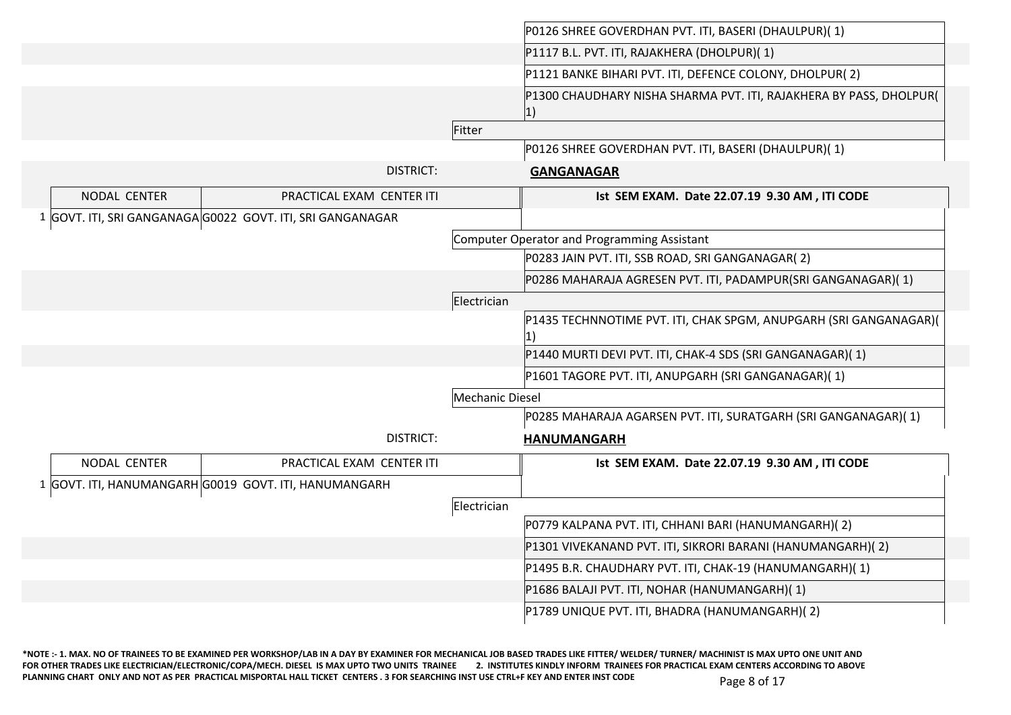|              |                                                            |                 | P0126 SHREE GOVERDHAN PVT. ITI, BASERI (DHAULPUR)(1)                      |
|--------------|------------------------------------------------------------|-----------------|---------------------------------------------------------------------------|
|              |                                                            |                 | P1117 B.L. PVT. ITI, RAJAKHERA (DHOLPUR)(1)                               |
|              |                                                            |                 | P1121 BANKE BIHARI PVT. ITI, DEFENCE COLONY, DHOLPUR(2)                   |
|              |                                                            |                 | P1300 CHAUDHARY NISHA SHARMA PVT. ITI, RAJAKHERA BY PASS, DHOLPUR(<br> 1) |
|              |                                                            | Fitter          |                                                                           |
|              |                                                            |                 | P0126 SHREE GOVERDHAN PVT. ITI, BASERI (DHAULPUR)(1)                      |
|              | <b>DISTRICT:</b>                                           |                 | <b>GANGANAGAR</b>                                                         |
| NODAL CENTER | PRACTICAL EXAM CENTER ITI                                  |                 | Ist SEM EXAM. Date 22.07.19 9.30 AM, ITI CODE                             |
|              | 1 GOVT. ITI, SRI GANGANAGA G0022 GOVT. ITI, SRI GANGANAGAR |                 |                                                                           |
|              |                                                            |                 | Computer Operator and Programming Assistant                               |
|              |                                                            |                 | P0283 JAIN PVT. ITI, SSB ROAD, SRI GANGANAGAR(2)                          |
|              |                                                            |                 | P0286 MAHARAJA AGRESEN PVT. ITI, PADAMPUR(SRI GANGANAGAR)(1)              |
|              |                                                            | Electrician     |                                                                           |
|              |                                                            |                 | P1435 TECHNNOTIME PVT. ITI, CHAK SPGM, ANUPGARH (SRI GANGANAGAR)(<br> 1)  |
|              |                                                            |                 | P1440 MURTI DEVI PVT. ITI, CHAK-4 SDS (SRI GANGANAGAR)(1)                 |
|              |                                                            |                 | P1601 TAGORE PVT. ITI, ANUPGARH (SRI GANGANAGAR)(1)                       |
|              |                                                            | Mechanic Diesel |                                                                           |
|              |                                                            |                 | P0285 MAHARAJA AGARSEN PVT. ITI, SURATGARH (SRI GANGANAGAR)(1)            |
|              | <b>DISTRICT:</b>                                           |                 | <b>HANUMANGARH</b>                                                        |
| NODAL CENTER | PRACTICAL EXAM CENTER ITI                                  |                 | Ist SEM EXAM. Date 22.07.19 9.30 AM, ITI CODE                             |
|              | 1 GOVT. ITI, HANUMANGARH G0019 GOVT. ITI, HANUMANGARH      |                 |                                                                           |
|              |                                                            | Electrician     |                                                                           |
|              |                                                            |                 | P0779 KALPANA PVT. ITI, CHHANI BARI (HANUMANGARH)(2)                      |
|              |                                                            |                 | P1301 VIVEKANAND PVT. ITI, SIKRORI BARANI (HANUMANGARH)(2)                |
|              |                                                            |                 | P1495 B.R. CHAUDHARY PVT. ITI, CHAK-19 (HANUMANGARH)(1)                   |
|              |                                                            |                 | P1686 BALAJI PVT. ITI, NOHAR (HANUMANGARH)(1)                             |
|              |                                                            |                 | P1789 UNIQUE PVT. ITI, BHADRA (HANUMANGARH)(2)                            |

**\*NOTE :- 1. MAX. NO OF TRAINEES TO BE EXAMINED PER WORKSHOP/LAB IN A DAY BY EXAMINER FOR MECHANICAL JOB BASED TRADES LIKE FITTER/ WELDER/ TURNER/ MACHINIST IS MAX UPTO ONE UNIT AND**  FOR OTHER TRADES LIKE ELECTRICIAN/ELECTRONIC/COPA/MECH. DIESEL IS MAX UPTO TWO UNITS TRAINEE 2. INSTITUTES KINDLY INFORM TRAINEES FOR PRACTICAL EXAM CENTERS ACCORDING TO ABOVE PLANNING CHART ONLY AND NOT AS PER PRACTICAL MISPORTAL HALL TICKET CENTERS . 3 FOR SEARCHING INST USE CTRL+F KEY AND ENTER INST CODE Page 8 of 17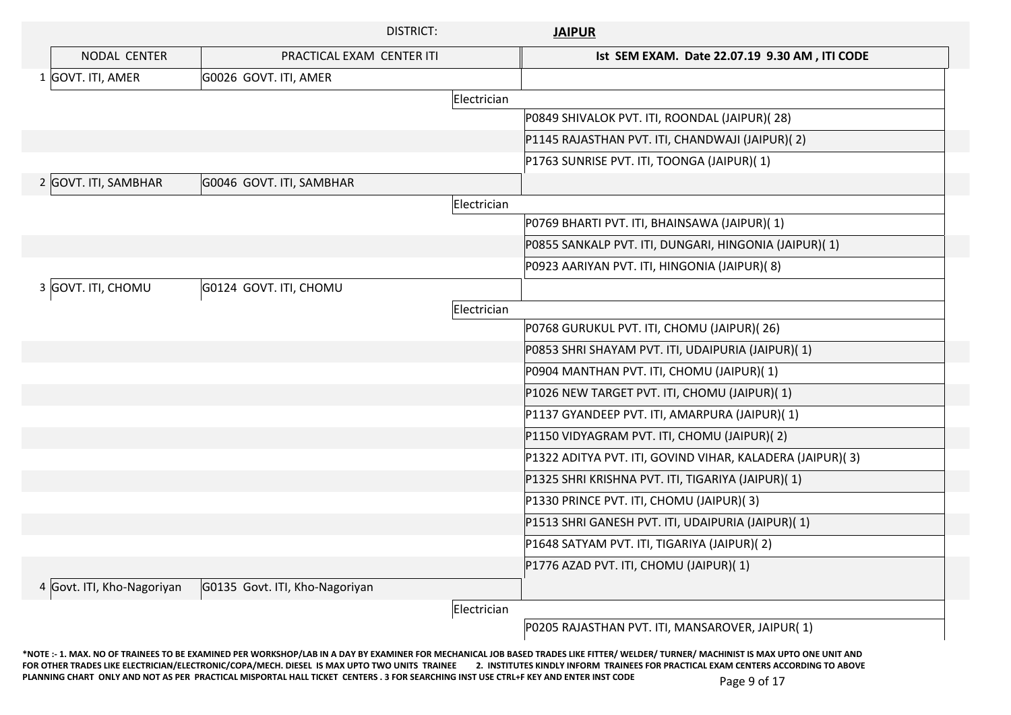|                            | <b>DISTRICT:</b>               |             | <b>JAIPUR</b>                                             |
|----------------------------|--------------------------------|-------------|-----------------------------------------------------------|
| NODAL CENTER               | PRACTICAL EXAM CENTER ITI      |             | Ist SEM EXAM. Date 22.07.19 9.30 AM, ITI CODE             |
| 1 GOVT. ITI, AMER          | G0026 GOVT. ITI, AMER          |             |                                                           |
|                            |                                | Electrician |                                                           |
|                            |                                |             | P0849 SHIVALOK PVT. ITI, ROONDAL (JAIPUR)(28)             |
|                            |                                |             | P1145 RAJASTHAN PVT. ITI, CHANDWAJI (JAIPUR)(2)           |
|                            |                                |             | P1763 SUNRISE PVT. ITI, TOONGA (JAIPUR)(1)                |
| 2 GOVT. ITI, SAMBHAR       | G0046 GOVT. ITI, SAMBHAR       |             |                                                           |
|                            |                                | Electrician |                                                           |
|                            |                                |             | P0769 BHARTI PVT. ITI, BHAINSAWA (JAIPUR)(1)              |
|                            |                                |             | P0855 SANKALP PVT. ITI, DUNGARI, HINGONIA (JAIPUR)(1)     |
|                            |                                |             | P0923 AARIYAN PVT. ITI, HINGONIA (JAIPUR)(8)              |
| 3 GOVT. ITI, CHOMU         | G0124 GOVT. ITI, CHOMU         |             |                                                           |
|                            |                                | Electrician |                                                           |
|                            |                                |             | P0768 GURUKUL PVT. ITI, CHOMU (JAIPUR)(26)                |
|                            |                                |             | P0853 SHRI SHAYAM PVT. ITI, UDAIPURIA (JAIPUR)(1)         |
|                            |                                |             | P0904 MANTHAN PVT. ITI, CHOMU (JAIPUR)(1)                 |
|                            |                                |             | P1026 NEW TARGET PVT. ITI, CHOMU (JAIPUR)(1)              |
|                            |                                |             | P1137 GYANDEEP PVT. ITI, AMARPURA (JAIPUR)(1)             |
|                            |                                |             | P1150 VIDYAGRAM PVT. ITI, CHOMU (JAIPUR)(2)               |
|                            |                                |             | P1322 ADITYA PVT. ITI, GOVIND VIHAR, KALADERA (JAIPUR)(3) |
|                            |                                |             | P1325 SHRI KRISHNA PVT. ITI, TIGARIYA (JAIPUR)(1)         |
|                            |                                |             | P1330 PRINCE PVT. ITI, CHOMU (JAIPUR)(3)                  |
|                            |                                |             | P1513 SHRI GANESH PVT. ITI, UDAIPURIA (JAIPUR)(1)         |
|                            |                                |             | P1648 SATYAM PVT. ITI, TIGARIYA (JAIPUR)(2)               |
|                            |                                |             | P1776 AZAD PVT. ITI, CHOMU (JAIPUR)(1)                    |
| 4 Govt. ITI, Kho-Nagoriyan | G0135 Govt. ITI, Kho-Nagoriyan |             |                                                           |
|                            |                                | Electrician |                                                           |
|                            |                                |             | P0205 RAJASTHAN PVT. ITI, MANSAROVER, JAIPUR(1)           |

**\*NOTE :- 1. MAX. NO OF TRAINEES TO BE EXAMINED PER WORKSHOP/LAB IN A DAY BY EXAMINER FOR MECHANICAL JOB BASED TRADES LIKE FITTER/ WELDER/ TURNER/ MACHINIST IS MAX UPTO ONE UNIT AND**  FOR OTHER TRADES LIKE ELECTRICIAN/ELECTRONIC/COPA/MECH. DIESEL IS MAX UPTO TWO UNITS TRAINEE 2. INSTITUTES KINDLY INFORM TRAINEES FOR PRACTICAL EXAM CENTERS ACCORDING TO ABOVE PLANNING CHART ONLY AND NOT AS PER PRACTICAL MISPORTAL HALL TICKET CENTERS . 3 FOR SEARCHING INST USE CTRL+F KEY AND ENTER INST CODE Page 9 of 17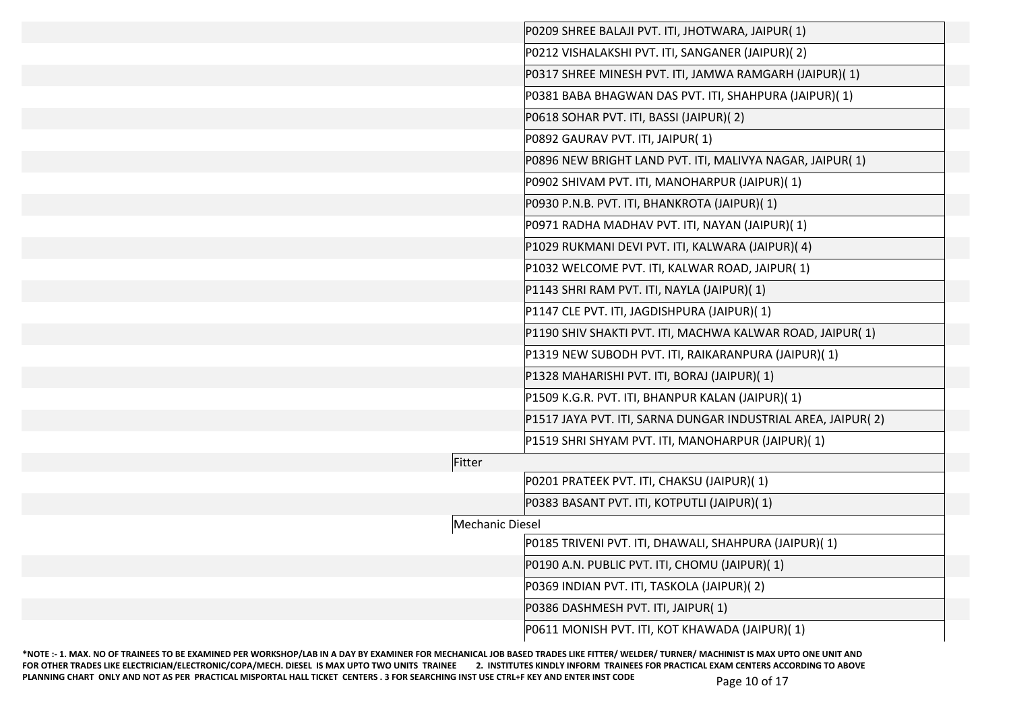|                        | P0209 SHREE BALAJI PVT. ITI, JHOTWARA, JAIPUR(1)             |
|------------------------|--------------------------------------------------------------|
|                        | P0212 VISHALAKSHI PVT. ITI, SANGANER (JAIPUR)(2)             |
|                        | P0317 SHREE MINESH PVT. ITI, JAMWA RAMGARH (JAIPUR)(1)       |
|                        | P0381 BABA BHAGWAN DAS PVT. ITI, SHAHPURA (JAIPUR)(1)        |
|                        | P0618 SOHAR PVT. ITI, BASSI (JAIPUR)(2)                      |
|                        | P0892 GAURAV PVT. ITI, JAIPUR(1)                             |
|                        | P0896 NEW BRIGHT LAND PVT. ITI, MALIVYA NAGAR, JAIPUR(1)     |
|                        | P0902 SHIVAM PVT. ITI, MANOHARPUR (JAIPUR)(1)                |
|                        | P0930 P.N.B. PVT. ITI, BHANKROTA (JAIPUR)(1)                 |
|                        | P0971 RADHA MADHAV PVT. ITI, NAYAN (JAIPUR)(1)               |
|                        | P1029 RUKMANI DEVI PVT. ITI, KALWARA (JAIPUR)(4)             |
|                        | P1032 WELCOME PVT. ITI, KALWAR ROAD, JAIPUR(1)               |
|                        | P1143 SHRI RAM PVT. ITI, NAYLA (JAIPUR)(1)                   |
|                        | P1147 CLE PVT. ITI, JAGDISHPURA (JAIPUR)(1)                  |
|                        | P1190 SHIV SHAKTI PVT. ITI, MACHWA KALWAR ROAD, JAIPUR(1)    |
|                        | P1319 NEW SUBODH PVT. ITI, RAIKARANPURA (JAIPUR)(1)          |
|                        | P1328 MAHARISHI PVT. ITI, BORAJ (JAIPUR)(1)                  |
|                        | P1509 K.G.R. PVT. ITI, BHANPUR KALAN (JAIPUR)(1)             |
|                        | P1517 JAYA PVT. ITI, SARNA DUNGAR INDUSTRIAL AREA, JAIPUR(2) |
|                        | P1519 SHRI SHYAM PVT. ITI, MANOHARPUR (JAIPUR)(1)            |
| Fitter                 |                                                              |
|                        | P0201 PRATEEK PVT. ITI, CHAKSU (JAIPUR)(1)                   |
|                        | P0383 BASANT PVT. ITI, KOTPUTLI (JAIPUR)(1)                  |
| <b>Mechanic Diesel</b> |                                                              |
|                        | P0185 TRIVENI PVT. ITI, DHAWALI, SHAHPURA (JAIPUR)(1)        |
|                        | P0190 A.N. PUBLIC PVT. ITI, CHOMU (JAIPUR)(1)                |
|                        | P0369 INDIAN PVT. ITI, TASKOLA (JAIPUR)(2)                   |
|                        | P0386 DASHMESH PVT. ITI, JAIPUR(1)                           |
|                        | P0611 MONISH PVT. ITI, KOT KHAWADA (JAIPUR)(1)               |
|                        |                                                              |

**\*NOTE :- 1. MAX. NO OF TRAINEES TO BE EXAMINED PER WORKSHOP/LAB IN A DAY BY EXAMINER FOR MECHANICAL JOB BASED TRADES LIKE FITTER/ WELDER/ TURNER/ MACHINIST IS MAX UPTO ONE UNIT AND**  FOR OTHER TRADES LIKE ELECTRICIAN/ELECTRONIC/COPA/MECH. DIESEL IS MAX UPTO TWO UNITS TRAINEE 2. INSTITUTES KINDLY INFORM TRAINEES FOR PRACTICAL EXAM CENTERS ACCORDING TO ABOVE PLANNING CHART ONLY AND NOT AS PER PRACTICAL MISPORTAL HALL TICKET CENTERS . 3 FOR SEARCHING INST USE CTRL+F KEY AND ENTER INST CODE Page 10 of 17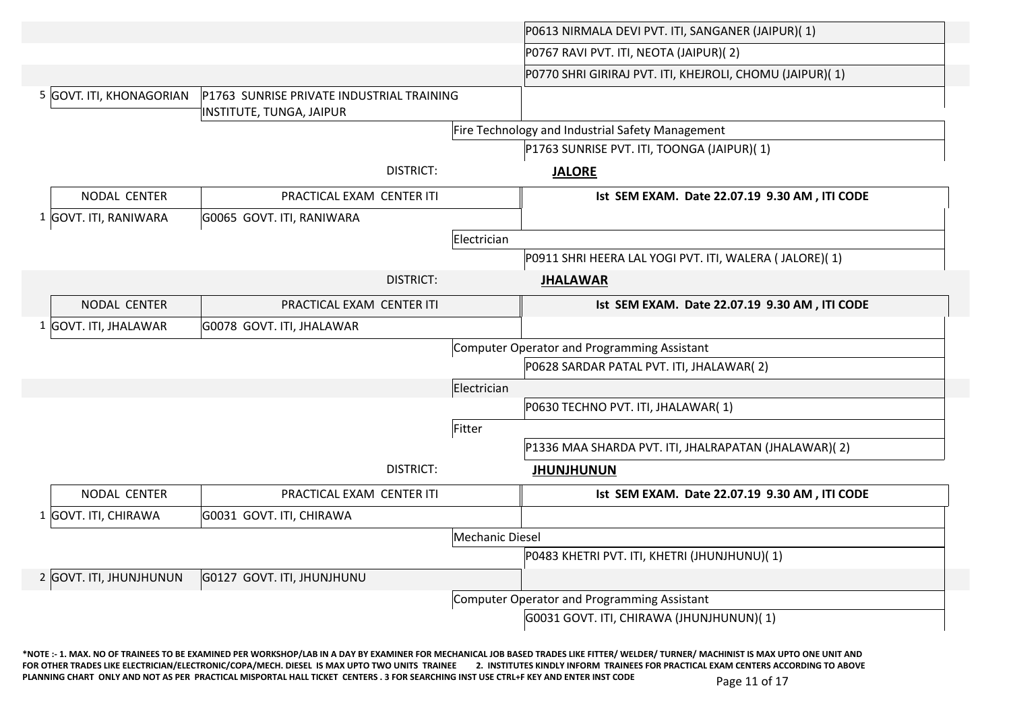|                          |                                                                       |                        | P0613 NIRMALA DEVI PVT. ITI, SANGANER (JAIPUR)(1)        |
|--------------------------|-----------------------------------------------------------------------|------------------------|----------------------------------------------------------|
|                          |                                                                       |                        | P0767 RAVI PVT. ITI, NEOTA (JAIPUR)(2)                   |
|                          |                                                                       |                        | P0770 SHRI GIRIRAJ PVT. ITI, KHEJROLI, CHOMU (JAIPUR)(1) |
| 5 GOVT. ITI, KHONAGORIAN | P1763 SUNRISE PRIVATE INDUSTRIAL TRAINING<br>INSTITUTE, TUNGA, JAIPUR |                        |                                                          |
|                          |                                                                       |                        | Fire Technology and Industrial Safety Management         |
|                          |                                                                       |                        | P1763 SUNRISE PVT. ITI, TOONGA (JAIPUR)(1)               |
|                          | <b>DISTRICT:</b>                                                      |                        | <b>JALORE</b>                                            |
| NODAL CENTER             | PRACTICAL EXAM CENTER ITI                                             |                        | Ist SEM EXAM. Date 22.07.19 9.30 AM, ITI CODE            |
| 1 GOVT. ITI, RANIWARA    | G0065 GOVT. ITI, RANIWARA                                             |                        |                                                          |
|                          |                                                                       | Electrician            |                                                          |
|                          |                                                                       |                        | P0911 SHRI HEERA LAL YOGI PVT. ITI, WALERA ( JALORE)( 1) |
|                          | <b>DISTRICT:</b>                                                      |                        | <b>JHALAWAR</b>                                          |
| NODAL CENTER             | PRACTICAL EXAM CENTER ITI                                             |                        | Ist SEM EXAM. Date 22.07.19 9.30 AM, ITI CODE            |
| 1 GOVT. ITI, JHALAWAR    | G0078 GOVT. ITI, JHALAWAR                                             |                        |                                                          |
|                          |                                                                       |                        | Computer Operator and Programming Assistant              |
|                          |                                                                       |                        | P0628 SARDAR PATAL PVT. ITI, JHALAWAR(2)                 |
|                          |                                                                       | Electrician            |                                                          |
|                          |                                                                       |                        | P0630 TECHNO PVT. ITI, JHALAWAR(1)                       |
|                          |                                                                       | Fitter                 |                                                          |
|                          |                                                                       |                        | P1336 MAA SHARDA PVT. ITI, JHALRAPATAN (JHALAWAR)(2)     |
|                          | <b>DISTRICT:</b>                                                      |                        | <b>JHUNJHUNUN</b>                                        |
| NODAL CENTER             | PRACTICAL EXAM CENTER ITI                                             |                        | Ist SEM EXAM. Date 22.07.19 9.30 AM, ITI CODE            |
| 1 GOVT. ITI, CHIRAWA     | G0031 GOVT. ITI, CHIRAWA                                              |                        |                                                          |
|                          |                                                                       | <b>Mechanic Diesel</b> |                                                          |
|                          |                                                                       |                        | P0483 KHETRI PVT. ITI, KHETRI (JHUNJHUNU)(1)             |
| 2 GOVT. ITI, JHUNJHUNUN  | G0127 GOVT. ITI, JHUNJHUNU                                            |                        |                                                          |
|                          |                                                                       |                        | Computer Operator and Programming Assistant              |
|                          |                                                                       |                        |                                                          |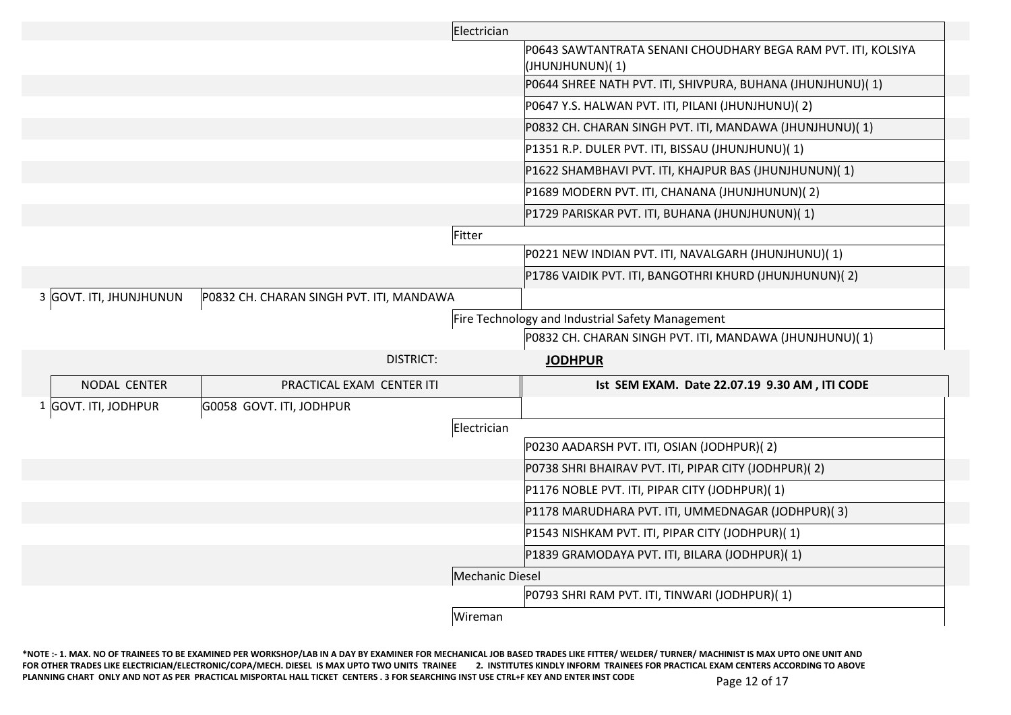|                         |                                          | Electrician                                                                      |
|-------------------------|------------------------------------------|----------------------------------------------------------------------------------|
|                         |                                          | P0643 SAWTANTRATA SENANI CHOUDHARY BEGA RAM PVT. ITI, KOLSIYA<br>(JHUNJHUNUN)(1) |
|                         |                                          | P0644 SHREE NATH PVT. ITI, SHIVPURA, BUHANA (JHUNJHUNU)(1)                       |
|                         |                                          | P0647 Y.S. HALWAN PVT. ITI, PILANI (JHUNJHUNU)(2)                                |
|                         |                                          | P0832 CH. CHARAN SINGH PVT. ITI, MANDAWA (JHUNJHUNU)(1)                          |
|                         |                                          | P1351 R.P. DULER PVT. ITI, BISSAU (JHUNJHUNU)(1)                                 |
|                         |                                          | P1622 SHAMBHAVI PVT. ITI, KHAJPUR BAS (JHUNJHUNUN)(1)                            |
|                         |                                          | P1689 MODERN PVT. ITI, CHANANA (JHUNJHUNUN)(2)                                   |
|                         |                                          | P1729 PARISKAR PVT. ITI, BUHANA (JHUNJHUNUN)(1)                                  |
|                         |                                          | Fitter                                                                           |
|                         |                                          | P0221 NEW INDIAN PVT. ITI, NAVALGARH (JHUNJHUNU)(1)                              |
|                         |                                          | P1786 VAIDIK PVT. ITI, BANGOTHRI KHURD (JHUNJHUNUN)(2)                           |
| 3 GOVT. ITI, JHUNJHUNUN | P0832 CH. CHARAN SINGH PVT. ITI, MANDAWA |                                                                                  |
|                         |                                          | Fire Technology and Industrial Safety Management                                 |
|                         |                                          | P0832 CH. CHARAN SINGH PVT. ITI, MANDAWA (JHUNJHUNU)(1)                          |
|                         | DISTRICT:                                | <b>JODHPUR</b>                                                                   |
| NODAL CENTER            | PRACTICAL EXAM CENTER ITI                | Ist SEM EXAM. Date 22.07.19 9.30 AM, ITI CODE                                    |
| 1 GOVT. ITI, JODHPUR    | G0058 GOVT. ITI, JODHPUR                 |                                                                                  |
|                         |                                          | Electrician                                                                      |
|                         |                                          | P0230 AADARSH PVT. ITI, OSIAN (JODHPUR)(2)                                       |
|                         |                                          | P0738 SHRI BHAIRAV PVT. ITI, PIPAR CITY (JODHPUR)(2)                             |
|                         |                                          | P1176 NOBLE PVT. ITI, PIPAR CITY (JODHPUR)(1)                                    |
|                         |                                          | P1178 MARUDHARA PVT. ITI, UMMEDNAGAR (JODHPUR)(3)                                |
|                         |                                          | P1543 NISHKAM PVT. ITI, PIPAR CITY (JODHPUR)(1)                                  |
|                         |                                          | P1839 GRAMODAYA PVT. ITI, BILARA (JODHPUR)(1)                                    |
|                         |                                          | Mechanic Diesel                                                                  |
|                         |                                          | P0793 SHRI RAM PVT. ITI, TINWARI (JODHPUR)(1)                                    |
|                         |                                          | Wireman                                                                          |

**\*NOTE :- 1. MAX. NO OF TRAINEES TO BE EXAMINED PER WORKSHOP/LAB IN A DAY BY EXAMINER FOR MECHANICAL JOB BASED TRADES LIKE FITTER/ WELDER/ TURNER/ MACHINIST IS MAX UPTO ONE UNIT AND**  FOR OTHER TRADES LIKE ELECTRICIAN/ELECTRONIC/COPA/MECH. DIESEL IS MAX UPTO TWO UNITS TRAINEE 2. INSTITUTES KINDLY INFORM TRAINEES FOR PRACTICAL EXAM CENTERS ACCORDING TO ABOVE PLANNING CHART ONLY AND NOT AS PER PRACTICAL MISPORTAL HALL TICKET CENTERS . 3 FOR SEARCHING INST USE CTRL+F KEY AND ENTER INST CODE Page 12 of 17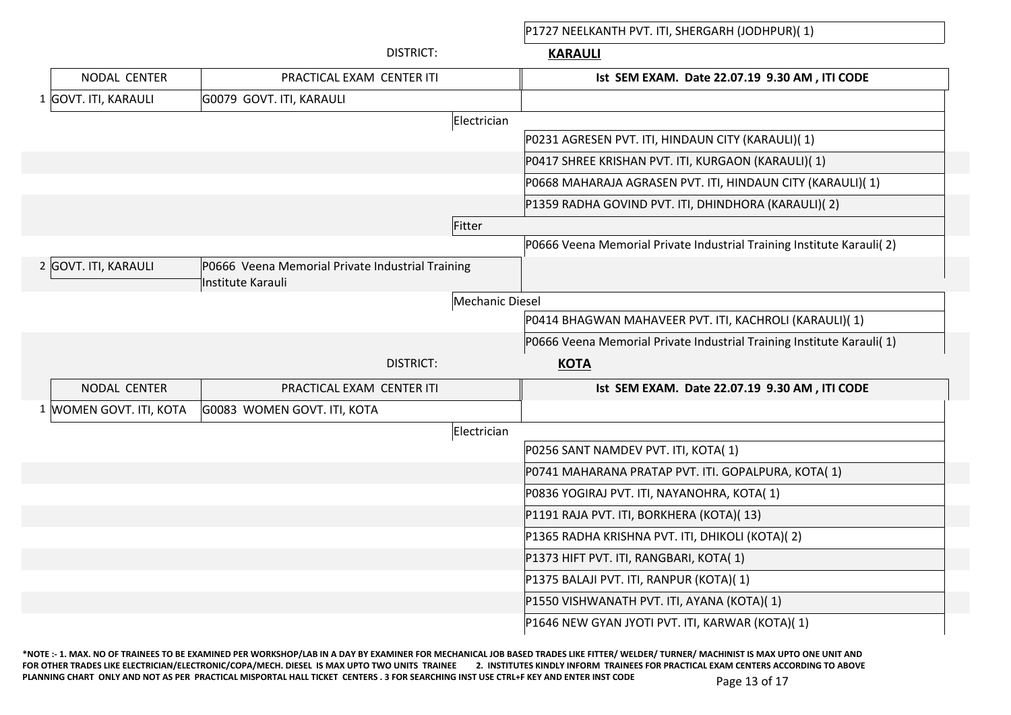P1727 NEELKANTH PVT. ITI, SHERGARH (JODHPUR)( 1)

|                         | <b>DISTRICT:</b>                                                      | <b>KARAULI</b>                                                        |
|-------------------------|-----------------------------------------------------------------------|-----------------------------------------------------------------------|
| NODAL CENTER            | PRACTICAL EXAM CENTER ITI                                             | Ist SEM EXAM. Date 22.07.19 9.30 AM, ITI CODE                         |
| 1 GOVT. ITI, KARAULI    | G0079 GOVT. ITI, KARAULI                                              |                                                                       |
|                         |                                                                       | Electrician                                                           |
|                         |                                                                       | P0231 AGRESEN PVT. ITI, HINDAUN CITY (KARAULI)(1)                     |
|                         |                                                                       | P0417 SHREE KRISHAN PVT. ITI, KURGAON (KARAULI)(1)                    |
|                         |                                                                       | P0668 MAHARAJA AGRASEN PVT. ITI, HINDAUN CITY (KARAULI)(1)            |
|                         |                                                                       | P1359 RADHA GOVIND PVT. ITI, DHINDHORA (KARAULI)(2)                   |
|                         | Fitter                                                                |                                                                       |
|                         |                                                                       | P0666 Veena Memorial Private Industrial Training Institute Karauli(2) |
| 2 GOVT. ITI, KARAULI    | P0666 Veena Memorial Private Industrial Training<br>Institute Karauli |                                                                       |
|                         |                                                                       | <b>Mechanic Diesel</b>                                                |
|                         |                                                                       | P0414 BHAGWAN MAHAVEER PVT. ITI, KACHROLI (KARAULI)(1)                |
|                         |                                                                       | P0666 Veena Memorial Private Industrial Training Institute Karauli(1) |
|                         | <b>DISTRICT:</b>                                                      | <b>KOTA</b>                                                           |
| NODAL CENTER            | PRACTICAL EXAM CENTER ITI                                             | Ist SEM EXAM. Date 22.07.19 9.30 AM, ITI CODE                         |
| 1 WOMEN GOVT. ITI, KOTA | G0083 WOMEN GOVT. ITI, KOTA                                           |                                                                       |
|                         |                                                                       | Electrician                                                           |
|                         |                                                                       | P0256 SANT NAMDEV PVT. ITI, KOTA(1)                                   |
|                         |                                                                       | P0741 MAHARANA PRATAP PVT. ITI. GOPALPURA, KOTA(1)                    |
|                         |                                                                       | P0836 YOGIRAJ PVT. ITI, NAYANOHRA, KOTA(1)                            |
|                         |                                                                       | P1191 RAJA PVT. ITI, BORKHERA (KOTA)(13)                              |
|                         |                                                                       | P1365 RADHA KRISHNA PVT. ITI, DHIKOLI (KOTA)(2)                       |
|                         |                                                                       | P1373 HIFT PVT. ITI, RANGBARI, KOTA(1)                                |
|                         |                                                                       | P1375 BALAJI PVT. ITI, RANPUR (KOTA)(1)                               |
|                         |                                                                       | P1550 VISHWANATH PVT. ITI, AYANA (KOTA)(1)                            |
|                         |                                                                       | P1646 NEW GYAN JYOTI PVT. ITI, KARWAR (KOTA)(1)                       |

**\*NOTE :- 1. MAX. NO OF TRAINEES TO BE EXAMINED PER WORKSHOP/LAB IN A DAY BY EXAMINER FOR MECHANICAL JOB BASED TRADES LIKE FITTER/ WELDER/ TURNER/ MACHINIST IS MAX UPTO ONE UNIT AND**  FOR OTHER TRADES LIKE ELECTRICIAN/ELECTRONIC/COPA/MECH. DIESEL IS MAX UPTO TWO UNITS TRAINEE 2. INSTITUTES KINDLY INFORM TRAINEES FOR PRACTICAL EXAM CENTERS ACCORDING TO ABOVE PLANNING CHART ONLY AND NOT AS PER PRACTICAL MISPORTAL HALL TICKET CENTERS . 3 FOR SEARCHING INST USE CTRL+F KEY AND ENTER INST CODE Page 13 of 17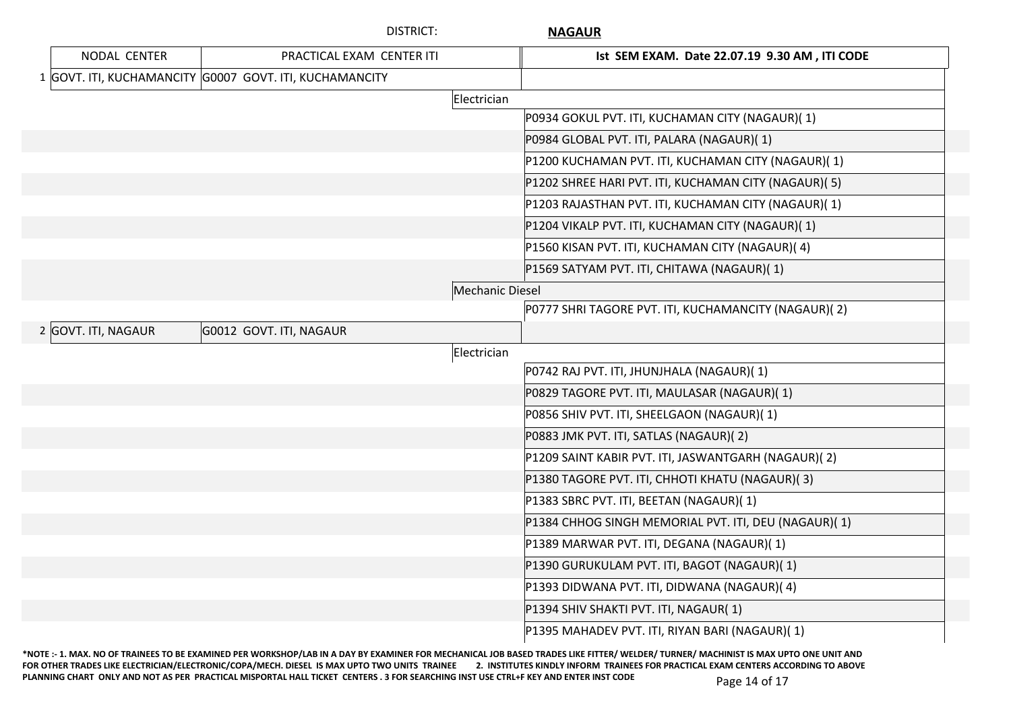|                     | <b>DISTRICT:</b>                                        | <b>NAGAUR</b>                                        |
|---------------------|---------------------------------------------------------|------------------------------------------------------|
| NODAL CENTER        | PRACTICAL EXAM CENTER ITI                               | Ist SEM EXAM. Date 22.07.19 9.30 AM, ITI CODE        |
|                     | 1 GOVT. ITI, KUCHAMANCITY G0007 GOVT. ITI, KUCHAMANCITY |                                                      |
|                     |                                                         | Electrician                                          |
|                     |                                                         | P0934 GOKUL PVT. ITI, KUCHAMAN CITY (NAGAUR)(1)      |
|                     |                                                         | P0984 GLOBAL PVT. ITI, PALARA (NAGAUR)(1)            |
|                     |                                                         | P1200 KUCHAMAN PVT. ITI, KUCHAMAN CITY (NAGAUR)(1)   |
|                     |                                                         | P1202 SHREE HARI PVT. ITI, KUCHAMAN CITY (NAGAUR)(5) |
|                     |                                                         | P1203 RAJASTHAN PVT. ITI, KUCHAMAN CITY (NAGAUR)(1)  |
|                     |                                                         | P1204 VIKALP PVT. ITI, KUCHAMAN CITY (NAGAUR)(1)     |
|                     |                                                         | P1560 KISAN PVT. ITI, KUCHAMAN CITY (NAGAUR)(4)      |
|                     |                                                         | P1569 SATYAM PVT. ITI, CHITAWA (NAGAUR)(1)           |
|                     |                                                         | Mechanic Diesel                                      |
|                     |                                                         | P0777 SHRI TAGORE PVT. ITI, KUCHAMANCITY (NAGAUR)(2) |
| 2 GOVT. ITI, NAGAUR | G0012 GOVT. ITI, NAGAUR                                 |                                                      |
|                     |                                                         | Electrician                                          |
|                     |                                                         | P0742 RAJ PVT. ITI, JHUNJHALA (NAGAUR)(1)            |
|                     |                                                         | P0829 TAGORE PVT. ITI, MAULASAR (NAGAUR)(1)          |
|                     |                                                         | P0856 SHIV PVT. ITI, SHEELGAON (NAGAUR)(1)           |
|                     |                                                         | P0883 JMK PVT. ITI, SATLAS (NAGAUR)(2)               |
|                     |                                                         | P1209 SAINT KABIR PVT. ITI, JASWANTGARH (NAGAUR)(2)  |
|                     |                                                         | P1380 TAGORE PVT. ITI, CHHOTI KHATU (NAGAUR)(3)      |
|                     |                                                         | P1383 SBRC PVT. ITI, BEETAN (NAGAUR)(1)              |
|                     |                                                         | P1384 CHHOG SINGH MEMORIAL PVT. ITI, DEU (NAGAUR)(1) |
|                     |                                                         | P1389 MARWAR PVT. ITI, DEGANA (NAGAUR)(1)            |
|                     |                                                         | P1390 GURUKULAM PVT. ITI, BAGOT (NAGAUR)(1)          |
|                     |                                                         | P1393 DIDWANA PVT. ITI, DIDWANA (NAGAUR)(4)          |
|                     |                                                         | P1394 SHIV SHAKTI PVT. ITI, NAGAUR(1)                |
|                     |                                                         | P1395 MAHADEV PVT. ITI, RIYAN BARI (NAGAUR)(1)       |

**\*NOTE :- 1. MAX. NO OF TRAINEES TO BE EXAMINED PER WORKSHOP/LAB IN A DAY BY EXAMINER FOR MECHANICAL JOB BASED TRADES LIKE FITTER/ WELDER/ TURNER/ MACHINIST IS MAX UPTO ONE UNIT AND**  FOR OTHER TRADES LIKE ELECTRICIAN/ELECTRONIC/COPA/MECH. DIESEL IS MAX UPTO TWO UNITS TRAINEE 2. INSTITUTES KINDLY INFORM TRAINEES FOR PRACTICAL EXAM CENTERS ACCORDING TO ABOVE PLANNING CHART ONLY AND NOT AS PER PRACTICAL MISPORTAL HALL TICKET CENTERS . 3 FOR SEARCHING INST USE CTRL+F KEY AND ENTER INST CODE Page 14 of 17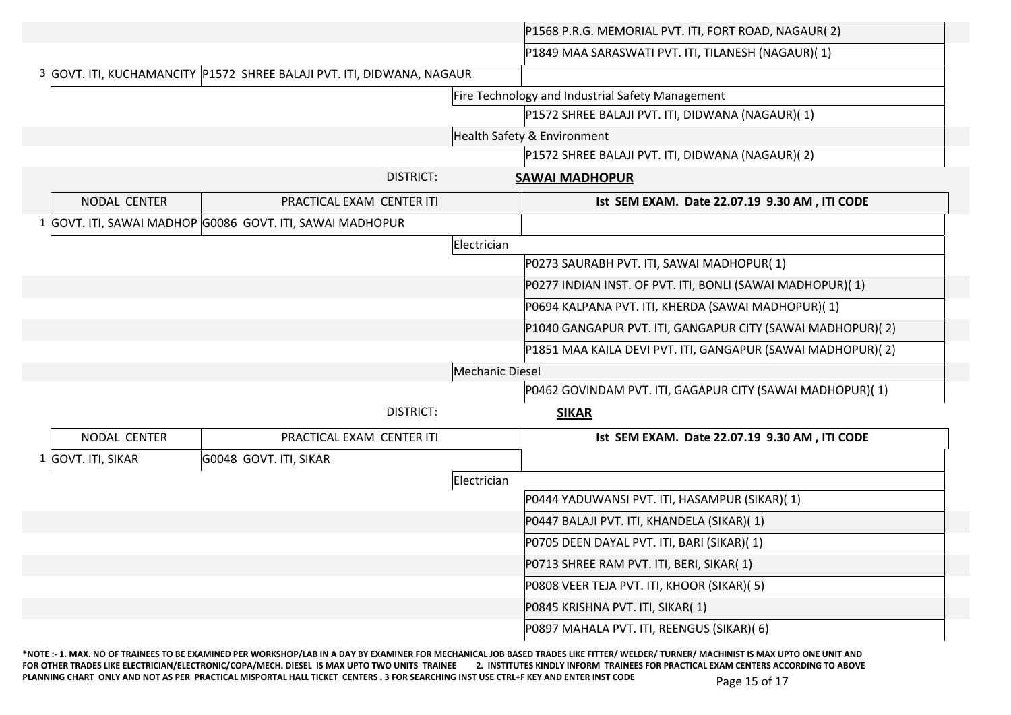|                    |                                                                        | P1568 P.R.G. MEMORIAL PVT. ITI, FORT ROAD, NAGAUR(2)        |
|--------------------|------------------------------------------------------------------------|-------------------------------------------------------------|
|                    |                                                                        | P1849 MAA SARASWATI PVT. ITI, TILANESH (NAGAUR)(1)          |
|                    | 3 GOVT. ITI, KUCHAMANCITY P1572 SHREE BALAJI PVT. ITI, DIDWANA, NAGAUR |                                                             |
|                    |                                                                        | Fire Technology and Industrial Safety Management            |
|                    |                                                                        | P1572 SHREE BALAJI PVT. ITI, DIDWANA (NAGAUR)(1)            |
|                    |                                                                        | Health Safety & Environment                                 |
|                    |                                                                        | P1572 SHREE BALAJI PVT. ITI, DIDWANA (NAGAUR)(2)            |
|                    | <b>DISTRICT:</b>                                                       | <b>SAWAI MADHOPUR</b>                                       |
| NODAL CENTER       | PRACTICAL EXAM CENTER ITI                                              | Ist SEM EXAM. Date 22.07.19 9.30 AM, ITI CODE               |
|                    | 1 GOVT. ITI, SAWAI MADHOP G0086 GOVT. ITI, SAWAI MADHOPUR              |                                                             |
|                    |                                                                        | Electrician                                                 |
|                    |                                                                        | P0273 SAURABH PVT. ITI, SAWAI MADHOPUR(1)                   |
|                    |                                                                        | P0277 INDIAN INST. OF PVT. ITI, BONLI (SAWAI MADHOPUR)(1)   |
|                    |                                                                        | P0694 KALPANA PVT. ITI, KHERDA (SAWAI MADHOPUR)(1)          |
|                    |                                                                        | P1040 GANGAPUR PVT. ITI, GANGAPUR CITY (SAWAI MADHOPUR)(2)  |
|                    |                                                                        | P1851 MAA KAILA DEVI PVT. ITI, GANGAPUR (SAWAI MADHOPUR)(2) |
|                    |                                                                        | Mechanic Diesel                                             |
|                    |                                                                        | P0462 GOVINDAM PVT. ITI, GAGAPUR CITY (SAWAI MADHOPUR)(1)   |
|                    | <b>DISTRICT:</b>                                                       | <b>SIKAR</b>                                                |
| NODAL CENTER       | PRACTICAL EXAM CENTER ITI                                              | Ist SEM EXAM. Date 22.07.19 9.30 AM, ITI CODE               |
| 1 GOVT. ITI, SIKAR | G0048 GOVT. ITI, SIKAR                                                 |                                                             |
|                    |                                                                        | Electrician                                                 |
|                    |                                                                        | P0444 YADUWANSI PVT. ITI, HASAMPUR (SIKAR)(1)               |
|                    |                                                                        | P0447 BALAJI PVT. ITI, KHANDELA (SIKAR)(1)                  |
|                    |                                                                        | P0705 DEEN DAYAL PVT. ITI, BARI (SIKAR)(1)                  |
|                    |                                                                        | P0713 SHREE RAM PVT. ITI, BERI, SIKAR(1)                    |
|                    |                                                                        | P0808 VEER TEJA PVT. ITI, KHOOR (SIKAR)(5)                  |
|                    |                                                                        |                                                             |
|                    |                                                                        | P0845 KRISHNA PVT. ITI, SIKAR(1)                            |

**\*NOTE :- 1. MAX. NO OF TRAINEES TO BE EXAMINED PER WORKSHOP/LAB IN A DAY BY EXAMINER FOR MECHANICAL JOB BASED TRADES LIKE FITTER/ WELDER/ TURNER/ MACHINIST IS MAX UPTO ONE UNIT AND**  FOR OTHER TRADES LIKE ELECTRICIAN/ELECTRONIC/COPA/MECH. DIESEL IS MAX UPTO TWO UNITS TRAINEE 2. INSTITUTES KINDLY INFORM TRAINEES FOR PRACTICAL EXAM CENTERS ACCORDING TO ABOVE PLANNING CHART ONLY AND NOT AS PER PRACTICAL MISPORTAL HALL TICKET CENTERS . 3 FOR SEARCHING INST USE CTRL+F KEY AND ENTER INST CODE Page 15 of 17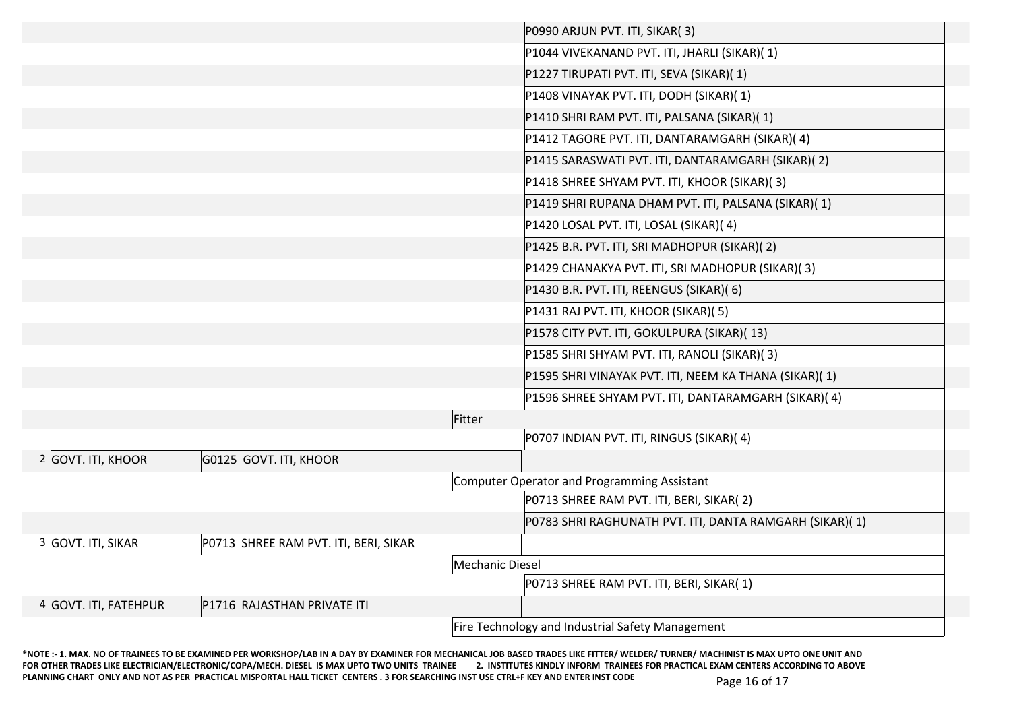|                       |                                       |                        | P0990 ARJUN PVT. ITI, SIKAR(3)                          |
|-----------------------|---------------------------------------|------------------------|---------------------------------------------------------|
|                       |                                       |                        | P1044 VIVEKANAND PVT. ITI, JHARLI (SIKAR)(1)            |
|                       |                                       |                        | P1227 TIRUPATI PVT. ITI, SEVA (SIKAR)(1)                |
|                       |                                       |                        | P1408 VINAYAK PVT. ITI, DODH (SIKAR)(1)                 |
|                       |                                       |                        | P1410 SHRI RAM PVT. ITI, PALSANA (SIKAR)(1)             |
|                       |                                       |                        | P1412 TAGORE PVT. ITI, DANTARAMGARH (SIKAR)(4)          |
|                       |                                       |                        | P1415 SARASWATI PVT. ITI, DANTARAMGARH (SIKAR)(2)       |
|                       |                                       |                        | P1418 SHREE SHYAM PVT. ITI, KHOOR (SIKAR)(3)            |
|                       |                                       |                        | P1419 SHRI RUPANA DHAM PVT. ITI, PALSANA (SIKAR)(1)     |
|                       |                                       |                        | P1420 LOSAL PVT. ITI, LOSAL (SIKAR)(4)                  |
|                       |                                       |                        | P1425 B.R. PVT. ITI, SRI MADHOPUR (SIKAR)(2)            |
|                       |                                       |                        | P1429 CHANAKYA PVT. ITI, SRI MADHOPUR (SIKAR)(3)        |
|                       |                                       |                        | P1430 B.R. PVT. ITI, REENGUS (SIKAR)(6)                 |
|                       |                                       |                        | P1431 RAJ PVT. ITI, KHOOR (SIKAR)(5)                    |
|                       |                                       |                        | P1578 CITY PVT. ITI, GOKULPURA (SIKAR)(13)              |
|                       |                                       |                        | P1585 SHRI SHYAM PVT. ITI, RANOLI (SIKAR)(3)            |
|                       |                                       |                        | P1595 SHRI VINAYAK PVT. ITI, NEEM KA THANA (SIKAR)(1)   |
|                       |                                       |                        | P1596 SHREE SHYAM PVT. ITI, DANTARAMGARH (SIKAR)(4)     |
|                       |                                       | Fitter                 |                                                         |
|                       |                                       |                        | P0707 INDIAN PVT. ITI, RINGUS (SIKAR)(4)                |
| 2 GOVT. ITI, KHOOR    | G0125 GOVT. ITI, KHOOR                |                        |                                                         |
|                       |                                       |                        | Computer Operator and Programming Assistant             |
|                       |                                       |                        | P0713 SHREE RAM PVT. ITI, BERI, SIKAR(2)                |
|                       |                                       |                        | P0783 SHRI RAGHUNATH PVT. ITI, DANTA RAMGARH (SIKAR)(1) |
| 3 GOVT. ITI, SIKAR    | P0713 SHREE RAM PVT. ITI, BERI, SIKAR |                        |                                                         |
|                       |                                       | <b>Mechanic Diesel</b> |                                                         |
|                       |                                       |                        | P0713 SHREE RAM PVT. ITI, BERI, SIKAR(1)                |
| 4 GOVT. ITI, FATEHPUR | P1716 RAJASTHAN PRIVATE ITI           |                        |                                                         |
|                       |                                       |                        | Fire Technology and Industrial Safety Management        |

**\*NOTE :- 1. MAX. NO OF TRAINEES TO BE EXAMINED PER WORKSHOP/LAB IN A DAY BY EXAMINER FOR MECHANICAL JOB BASED TRADES LIKE FITTER/ WELDER/ TURNER/ MACHINIST IS MAX UPTO ONE UNIT AND**  FOR OTHER TRADES LIKE ELECTRICIAN/ELECTRONIC/COPA/MECH. DIESEL IS MAX UPTO TWO UNITS TRAINEE 2. INSTITUTES KINDLY INFORM TRAINEES FOR PRACTICAL EXAM CENTERS ACCORDING TO ABOVE PLANNING CHART ONLY AND NOT AS PER PRACTICAL MISPORTAL HALL TICKET CENTERS . 3 FOR SEARCHING INST USE CTRL+F KEY AND ENTER INST CODE Page 16 of 17